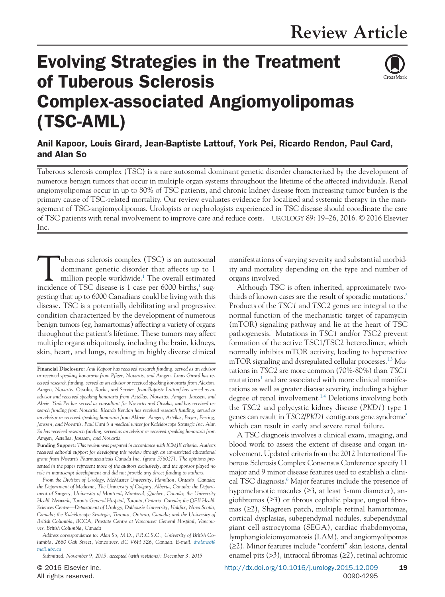# Evolving Strategies in the Treatment of Tuberous Sclerosis Complex-associated Angiomyolipomas (TSC-AML)



# Anil Kapoor, Louis Girard, Jean-Baptiste Lattouf, York Pei, Ricardo Rendon, Paul Card, and Alan So

Tuberous sclerosis complex (TSC) is a rare autosomal dominant genetic disorder characterized by the development of numerous benign tumors that occur in multiple organ systems throughout the lifetime of the affected individuals. Renal angiomyolipomas occur in up to 80% of TSC patients, and chronic kidney disease from increasing tumor burden is the primary cause of TSC-related mortality. Our review evaluates evidence for localized and systemic therapy in the management of TSC-angiomyolipomas. Urologists or nephrologists experienced in TSC disease should coordinate the care of TSC patients with renal involvement to improve care and reduce costs. UROLOGY 89: 19–26, 2016. © 2016 Elsevier Inc.

Tuberous sclerosis complex (TSC) is an autosomal dominant genetic disorder that affects up to 1 million people worldwide.1 The overall estimated incidence of TSC disease is 1 case per  $6000$  births,<sup>1</sup> suggesting that up to 6000 Canadians could be living with this disease. TSC is a potentially debilitating and progressive condition characterized by the development of numerous benign tumors (eg, hamartomas) affecting a variety of organs throughout the patient's lifetime. These tumors may affect multiple organs ubiquitously, including the brain, kidneys, skin, heart, and lungs, resulting in highly diverse clinical

manifestations of varying severity and substantial morbidity and mortality depending on the type and number of organs involved.

Although TSC is often inherited, approximately twothirds of known cases are the result of sporadic mutations.<sup>2</sup> Products of the *TSC1* and *TSC2* genes are integral to the normal function of the mechanistic target of rapamycin (mTOR) signaling pathway and lie at the heart of TSC pathogenesis[.1](#page-5-0) Mutations in *TSC1* and/or *TSC2* prevent formation of the active TSC1/TSC2 heterodimer, which normally inhibits mTOR activity, leading to hyperactive mTOR signaling and dysregulated cellular processes.<sup>1,3</sup> Mutations in *TSC2* are more common (70%-80%) than *TSC1* mutations<sup>1</sup> and are associated with more clinical manifestations as well as greater disease severity, including a higher degree of renal involvement.<sup>1,4</sup> Deletions involving both the *TSC2* and polycystic kidney disease (*PKD1*) type 1 genes can result in *TSC2/PKD1* contiguous gene syndrom[e5](#page-6-1) which can result in early and severe renal failure.

A TSC diagnosis involves a clinical exam, imaging, and blood work to assess the extent of disease and organ involvement. Updated criteria from the 2012 International Tuberous Sclerosis Complex Consensus Conference specify 11 major and 9 minor disease features used to establish a clinical TSC diagnosis.<sup>6</sup> Major features include the presence of hypomelanotic macules (≥3, at least 5-mm diameter), angiofibromas  $(≥3)$  or fibrous cephalic plaque, ungual fibromas (≥2), Shagreen patch, multiple retinal hamartomas, cortical dysplasias, subependymal nodules, subependymal giant cell astrocytoma (SEGA), cardiac rhabdomyoma, lymphangioleiomyomatosis (LAM), and angiomyolipomas (≥2). Minor features include "confetti" skin lesions, dental enamel pits  $(>3)$ , intraoral fibromas  $(≥2)$ , retinal achromic

**Financial Disclosure:** *Anil Kapoor has received research funding, served as an advisor or received speaking honoraria from Pfizer, Novartis, and Amgen. Louis Girard has received research funding, served as an advisor or received speaking honoraria from Alexion, Amgen, Novartis,* Otsuka*, Roche, and Servier. Jean-Baptiste Lattouf has served as an advisor and received speaking honoraria from Astellas, Novartis, Amgen, Janssen, and Abvie. York Pei has served as consultant for Novartis and Otsuka, and has received research funding from Novartis. Ricardo Rendon has received research funding, served as an advisor or received speaking honoraria from Abbvie, Amgen, Astellas, Bayer, Ferring, Janssen, and Novartis. Paul Card is a medical writer for Kaleidoscope Strategic Inc. Alan So has received research funding, served as an advisor or received speaking honoraria from Amgen, Astellas, Janssen, and Novartis.*

**Funding Support:** *This review was prepared in accordance with ICMJE criteria. Authors received editorial support for developing this review through an unrestricted educational grant from Novartis Pharmaceuticals Canada Inc. (grant 556027). The opinions presented in the paper represent those of the authors exclusively, and the sponsor played no role in manuscript development and did not provide any direct funding to authors*.

*From the Division of Urology, McMaster University, Hamilton, Ontario, Canada; the Department of Medicine, The University of Calgary, Alberta, Canada; the Department of Surgery, University of Montreal, Montreal, Quebec, Canada; the University Health Network, Toronto General Hospital, Toronto, Ontario, Canada; the QEII Health Sciences Centre—Department of Urology, Dalhousie University, Halifax, Nova Scotia, Canada; the Kaleidoscope Strategic, Toronto, Ontario, Canada; and the University of British Columbia, BCCA, Prostate Centre at Vancouver General Hospital, Vancouver, British Columbia, Canada*

*Address correspondence to: Alan So, M.D., F.R.C.S.C., University of British Columbia, 2660 Oak Street, Vancouver, BC V6H 3Z6, Canada. E-mail: [dralanso@](mailto:dralanso@mail.ubc.ca) [mail.ubc.ca](mailto:dralanso@mail.ubc.ca)*

*Submitted: November 9, 2015, accepted (with revisions): December 3, 2015*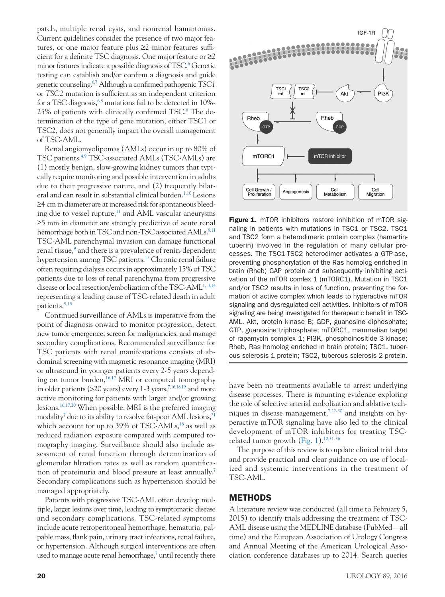patch, multiple renal cysts, and nonrenal hamartomas. Current guidelines consider the presence of two major features, or one major feature plus ≥2 minor features sufficient for a definite TSC diagnosis. One major feature or ≥2 minor features indicate a possible diagnosis of TSC.<sup>6</sup> Genetic testing can establish and/or confirm a diagnosis and guide genetic counseling[.6,7](#page-6-2) Although a confirmed pathogenic *TSC1* or *TSC2* mutation is sufficient as an independent criterion for a TSC diagnosis,<sup>6,8</sup> mutations fail to be detected in 10%-25% of patients with clinically confirmed TSC.<sup>6</sup> The determination of the type of gene mutation, either TSC1 or TSC2, does not generally impact the overall management of TSC-AML.

Renal angiomyolipomas (AMLs) occur in up to 80% of TSC patients[.4,9](#page-6-3) TSC-associated AMLs (TSC-AMLs) are (1) mostly benign, slow-growing kidney tumors that typically require monitoring and possible intervention in adults due to their progressive nature, and (2) frequently bilateral and can result in substantial clinical burden.<sup>1,10</sup> Lesions ≥4 cm in diameter are at increased risk for spontaneous bleeding due to vessel rupture, $11$  and AML vascular aneurysms ≥5 mm in diameter are strongly predictive of acute renal hemorrhage both in TSC and non-TSC associated AMLs.<sup>9,11</sup> TSC-AML parenchymal invasion can damage functional renal tissue,<sup>9</sup> and there is a prevalence of renin-dependent hypertension among TSC patients.<sup>12</sup> Chronic renal failure often requiring dialysis occurs in approximately 15% of TSC patients due to loss of renal parenchyma from progressive disease or local resection/embolization of the TSC-AML<sup>1,13,14</sup> representing a leading cause of TSC-related death in adult patients.<sup>9,15</sup>

Continued surveillance of AMLs is imperative from the point of diagnosis onward to monitor progression, detect new tumor emergence, screen for malignancies, and manage secondary complications. Recommended surveillance for TSC patients with renal manifestations consists of abdominal screening with magnetic resonance imaging (MRI) or ultrasound in younger patients every 2-5 years depending on tumor burden,<sup>16,17</sup> MRI or computed tomography in older patients ( $>20$  years) every 1-3 years,  $7,16,18,19$  and more active monitoring for patients with larger and/or growing lesions[.16,17,20](#page-6-7) When possible, MRI is the preferred imaging modality<sup>7</sup> due to its ability to resolve fat-poor AML lesions,  $21$ which account for up to  $39\%$  of TSC-AMLs,<sup>16</sup> as well as reduced radiation exposure compared with computed tomography imaging. Surveillance should also include assessment of renal function through determination of glomerular filtration rates as well as random quantification of proteinuria and blood pressure at least annually.<sup>7</sup> Secondary complications such as hypertension should be managed appropriately.

Patients with progressive TSC-AML often develop multiple, larger lesions over time, leading to symptomatic disease and secondary complications. TSC-related symptoms include acute retroperitoneal hemorrhage, hematuria, palpable mass, flank pain, urinary tract infections, renal failure, or hypertension. Although surgical interventions are often used to manage acute renal hemorrhage, $\overline{a}$  until recently there



Figure 1. mTOR inhibitors restore inhibition of mTOR signaling in patients with mutations in TSC1 or TSC2. TSC1 and TSC2 form a heterodimeric protein complex (hamartintuberin) involved in the regulation of many cellular processes. The TSC1-TSC2 heterodimer activates a GTP-ase, preventing phosphorylation of the Ras homolog enriched in brain (Rheb) GAP protein and subsequently inhibiting activation of the mTOR comlex 1 (mTORC1). Mutation in TSC1 and/or TSC2 results in loss of function, preventing the formation of active complex which leads to hyperactive mTOR signaling and dysregulated cell activities. Inhibitors of mTOR signaling are being investigated for therapeutic benefit in TSC-AML. Akt, protein kinase B; GDP, guanosine diphosphate; GTP, guanosine triphosphate; mTORC1, mammalian target of rapamycin complex 1; PI3K, phosphoinositide 3-kinase; Rheb, Ras homolog enriched in brain protein; TSC1, tuberous sclerosis 1 protein; TSC2, tuberous sclerosis 2 protein.

have been no treatments available to arrest underlying disease processes. There is mounting evidence exploring the role of selective arterial embolization and ablative techniques in disease management,<sup> $7,22-30$ </sup> and insights on hyperactive mTOR signaling have also led to the clinical development of mTOR inhibitors for treating TSCrelated tumor growth (Fig. 1)[.10,31-36](#page-6-10)

The purpose of this review is to update clinical trial data and provide practical and clear guidance on use of localized and systemic interventions in the treatment of TSC-AML.

# **METHODS**

A literature review was conducted (all time to February 5, 2015) to identify trials addressing the treatment of TSC-AML disease using the MEDLINE database (PubMed—all time) and the European Association of Urology Congress and Annual Meeting of the American Urological Association conference databases up to 2014. Search queries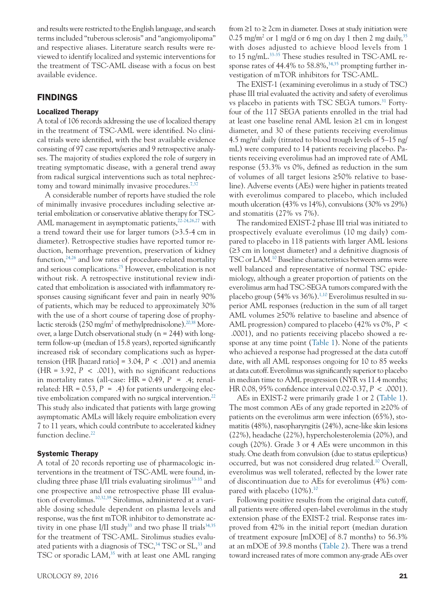and results were restricted to the English language, and search terms included "tuberous sclerosis" and "angiomyolipoma" and respective aliases. Literature search results were reviewed to identify localized and systemic interventions for the treatment of TSC-AML disease with a focus on best available evidence.

#### FINDINGS

#### Localized Therapy

A total of 106 records addressing the use of localized therapy in the treatment of TSC-AML were identified. No clinical trials were identified, with the best available evidence consisting of 97 case reports/series and 9 retrospective analyses. The majority of studies explored the role of surgery in treating symptomatic disease, with a general trend away from radical surgical interventions such as total nephrectomy and toward minimally invasive procedures.<sup>7,37</sup>

A considerable number of reports have studied the role of minimally invasive procedures including selective arterial embolization or conservative ablative therapy for TSC-AML management in asymptomatic patients,  $2^{2.24,26,27}$  with a trend toward their use for larger tumors (>3.5-4 cm in diameter). Retrospective studies have reported tumor reduction, hemorrhage prevention, preservation of kidney function, $24,26$  and low rates of procedure-related mortality and serious complications.<sup>25</sup> However, embolization is not without risk. A retrospective institutional review indicated that embolization is associated with inflammatory responses causing significant fever and pain in nearly 90% of patients, which may be reduced to approximately 30% with the use of a short course of tapering dose of prophylactic steroids  $(250 \text{ mg/m}^2 \text{ of methylprednisolone}).^{20,38}$  Moreover, a large Dutch observational study (n = 244) with longterm follow-up (median of 15.8 years), reported significantly increased risk of secondary complications such as hypertension (HR [hazard ratio] = 3.04, *P* < .001) and anemia (HR =  $3.92$ ,  $P < .001$ ), with no significant reductions in mortality rates (all-case: HR =  $0.49$ ,  $P = .4$ ; renalrelated: HR =  $0.53$ ,  $P = .4$ ) for patients undergoing elective embolization compared with no surgical intervention.<sup>22</sup> This study also indicated that patients with large growing asymptomatic AMLs will likely require embolization every 7 to 11 years, which could contribute to accelerated kidney function decline.<sup>22</sup>

#### Systemic Therapy

A total of 20 records reporting use of pharmacologic interventions in the treatment of TSC-AML were found, including three phase I/II trials evaluating sirolimus<sup>33-35</sup> and one prospective and one retrospective phase III evaluation of everolimus[.10,32,39](#page-6-10) Sirolimus, administered at a variable dosing schedule dependent on plasma levels and response, was the first mTOR inhibitor to demonstrate activity in one phase I/II study<sup>33</sup> and two phase II trials<sup>34,35</sup> for the treatment of TSC-AML. Sirolimus studies evaluated patients with a diagnosis of TSC,<sup>34</sup> TSC or SL,<sup>33</sup> and TSC or sporadic LAM,<sup>35</sup> with at least one AML ranging

from ≥1 to ≥ 2cm in diameter. Doses at study initiation were 0.25 mg/m<sup>2</sup> or 1 mg/d or 6 mg on day 1 then 2 mg daily,<sup>35</sup> with doses adjusted to achieve blood levels from 1 to 15 ng/mL.<sup>33-35</sup> These studies resulted in TSC-AML response rates of  $44.4\%$  to  $58.8\%$ ,  $34.35$  prompting further investigation of mTOR inhibitors for TSC-AML.

The EXIST-1 (examining everolimus in a study of TSC) phase III trial evaluated the activity and safety of everolimus vs placebo in patients with TSC SEGA tumors.<sup>31</sup> Fortyfour of the 117 SEGA patients enrolled in the trial had at least one baseline renal AML lesion ≥1 cm in longest diameter, and 30 of these patients receiving everolimus 4.5 mg/m<sup>2</sup> daily (titrated to blood trough levels of  $5-15$  ng/ mL) were compared to 14 patients receiving placebo. Patients receiving everolimus had an improved rate of AML response (53.3% vs 0%, defined as reduction in the sum of volumes of all target lesions ≥50% relative to baseline). Adverse events (AEs) were higher in patients treated with everolimus compared to placebo, which included mouth ulceration (43% vs 14%), convulsions (30% vs 29%) and stomatitis (27% vs 7%).

The randomized EXIST-2 phase III trial was initiated to prospectively evaluate everolimus (10 mg daily) compared to placebo in 118 patients with larger AML lesions (≥3 cm in longest diameter) and a definitive diagnosis of TSC or LAM[.10](#page-6-10) Baseline characteristics between arms were well balanced and representative of normal TSC epidemiology, although a greater proportion of patients on the everolimus arm had TSC-SEGA tumors compared with the placebo group  $(54\% \text{ vs } 36\%)$ .<sup>1,10</sup> Everolimus resulted in superior AML responses (reduction in the sum of all target AML volumes ≥50% relative to baseline and absence of AML progression) compared to placebo (42% vs 0%, *P* < .0001), and no patients receiving placebo showed a response at any time point [\(Table 1\)](#page-3-0). None of the patients who achieved a response had progressed at the data cutoff date, with all AML responses ongoing for 10 to 85 weeks at data cutoff. Everolimus was significantly superior to placebo in median time to AML progression (NYR vs 11.4 months; HR 0.08, 95% confidence interval 0.02-0.37, *P* < .0001).

AEs in EXIST-2 were primarily grade 1 or 2 [\(Table 1\)](#page-3-0). The most common AEs of any grade reported in ≥20% of patients on the everolimus arm were infection (65%), stomatitis (48%), nasopharyngitis (24%), acne-like skin lesions (22%), headache (22%), hypercholesterolemia (20%), and cough (20%). Grade 3 or 4 AEs were uncommon in this study. One death from convulsion (due to status epilepticus) occurred, but was not considered drug related[.10](#page-6-10) Overall, everolimus was well tolerated, reflected by the lower rate of discontinuation due to AEs for everolimus (4%) compared with placebo (10%).<sup>10</sup>

Following positive results from the original data cutoff, all patients were offered open-label everolimus in the study extension phase of the EXIST-2 trial. Response rates improved from 42% in the initial report (median duration of treatment exposure [mDOE] of 8.7 months) to 56.3% at an mDOE of 39.8 months [\(Table 2\)](#page-3-0). There was a trend toward increased rates of more common any-grade AEs over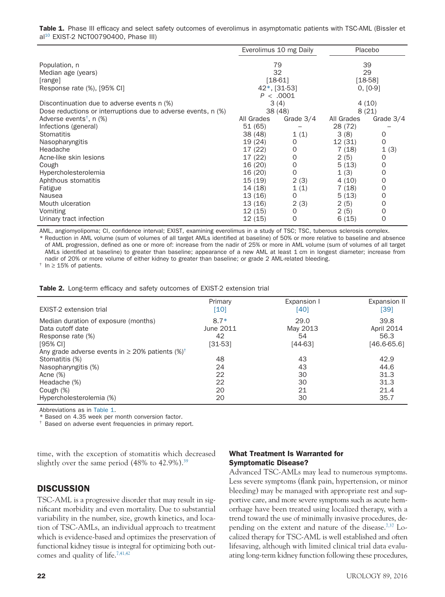<span id="page-3-0"></span>Table 1. Phase III efficacy and select safety outcomes of everolimus in asymptomatic patients with TSC-AML (Bissler et al<sup>10</sup> EXIST-2 NCT00790400, Phase III)

|                                                               | Everolimus 10 mg Daily      |             | Placebo               |             |
|---------------------------------------------------------------|-----------------------------|-------------|-----------------------|-------------|
| Population, n<br>Median age (years)<br>[range]                | 79<br>32<br>$[18-61]$       |             | 39<br>29<br>$[18-58]$ |             |
| Response rate (%), [95% CI]                                   | $42*,$ [31-53]<br>P < .0001 |             | $0, [0-9]$            |             |
| Discontinuation due to adverse events n (%)                   | 3(4)                        |             | 4(10)                 |             |
| Dose reductions or interruptions due to adverse events, n (%) | 38(48)                      |             | 8(21)                 |             |
| Adverse events <sup>†</sup> , n $(\%)$                        | All Grades                  | Grade $3/4$ | All Grades            | Grade $3/4$ |
| Infections (general)                                          | 51 (65)                     |             | 28 (72)               |             |
| <b>Stomatitis</b>                                             | 38 (48)                     | 1(1)        | 3(8)                  | Ő           |
| Nasopharyngitis                                               | 19 (24)                     | 0           | 12(31)                | 0           |
| Headache                                                      | 17(22)                      | 0           | 7(18)                 | 1(3)        |
| Acne-like skin lesions                                        | 17(22)                      | $\mathbf 0$ | 2(5)                  | 0           |
| Cough                                                         | 16 (20)                     | 0           | 5(13)                 | 0           |
| Hypercholesterolemia                                          | 16 (20)                     | 0           | 1(3)                  | 0           |
| Aphthous stomatitis                                           | 15(19)                      | 2(3)        | 4(10)                 | 0           |
| Fatigue                                                       | 14 (18)                     | 1(1)        | 7(18)                 | 0           |
| Nausea                                                        | 13(16)                      | 0           | 5(13)                 | 0           |
| Mouth ulceration                                              | 13(16)                      | 2(3)        | 2(5)                  | 0           |
| Vomiting                                                      | 12(15)                      | 0           | 2(5)                  | 0           |
| Urinary tract infection                                       | 12(15)                      | 0           | 6(15)                 | 0           |

<span id="page-3-1"></span>AML, angiomyolipoma; CI, confidence interval; EXIST, examining everolimus in a study of TSC; TSC, tuberous sclerosis complex. \* Reduction in AML volume (sum of volumes of all target AMLs identified at baseline) of 50% or more relative to baseline and absence of AML progression, defined as one or more of: increase from the nadir of 25% or more in AML volume (sum of volumes of all target AMLs identified at baseline) to greater than baseline; appearance of a new AML at least 1 cm in longest diameter; increase from nadir of 20% or more volume of either kidney to greater than baseline; or grade 2 AML-related bleeding.

<span id="page-3-2"></span>† In ≥ 15% of patients.

Table 2. Long-term efficacy and safety outcomes of EXIST-2 extension trial

| EXIST-2 extension trial                                                                                                                                                           | Primary                              | Expansion I                       | <b>Expansion II</b>                       |
|-----------------------------------------------------------------------------------------------------------------------------------------------------------------------------------|--------------------------------------|-----------------------------------|-------------------------------------------|
|                                                                                                                                                                                   | [10]                                 | [40]                              | [39]                                      |
| Median duration of exposure (months)<br>Data cutoff date<br>Response rate (%)<br>[95% CI]<br>Any grade adverse events in $\geq$ 20% patients (%) <sup><math>\uparrow</math></sup> | $8.7*$<br>June 2011<br>42<br>[31-53] | 29.0<br>May 2013<br>54<br>[44-63] | 39.8<br>April 2014<br>56.3<br>[46.6-65.6] |
| Stomatitis (%)                                                                                                                                                                    | 48                                   | 43                                | 42.9                                      |
| Nasopharyngitis (%)                                                                                                                                                               | 24                                   | 43                                | 44.6                                      |
| Acne $(\%)$                                                                                                                                                                       | 22                                   | 30                                | 31.3                                      |
| Headache (%)                                                                                                                                                                      | 22                                   | 30                                | 31.3                                      |
| Cough (%)                                                                                                                                                                         | 20                                   | 21                                | 21.4                                      |
| Hypercholesterolemia (%)                                                                                                                                                          | 20                                   | 30                                | 35.7                                      |

Abbreviations as in Table 1.

<span id="page-3-3"></span>\* Based on 4.35 week per month conversion factor.

<span id="page-3-4"></span><sup>†</sup> Based on adverse event frequencies in primary report.

time, with the exception of stomatitis which decreased slightly over the same period  $(48\% \text{ to } 42.9\%).$ <sup>39</sup>

# **DISCUSSION**

TSC-AML is a progressive disorder that may result in significant morbidity and even mortality. Due to substantial variability in the number, size, growth kinetics, and location of TSC-AMLs, an individual approach to treatment which is evidence-based and optimizes the preservation of functional kidney tissue is integral for optimizing both outcomes and quality of life.<sup>7,41,42</sup>

# What Treatment Is Warranted for Symptomatic Disease?

Advanced TSC-AMLs may lead to numerous symptoms. Less severe symptoms (flank pain, hypertension, or minor bleeding) may be managed with appropriate rest and supportive care, and more severe symptoms such as acute hemorrhage have been treated using localized therapy, with a trend toward the use of minimally invasive procedures, depending on the extent and nature of the disease[.7,37](#page-6-8) Localized therapy for TSC-AML is well established and often lifesaving, although with limited clinical trial data evaluating long-term kidney function following these procedures,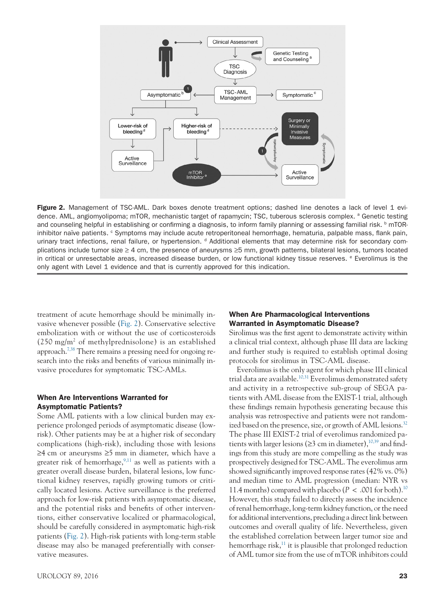<span id="page-4-0"></span>

Figure 2. Management of TSC-AML. Dark boxes denote treatment options; dashed line denotes a lack of level 1 evidence. AML, angiomyolipoma; mTOR, mechanistic target of rapamycin; TSC, tuberous sclerosis complex. <sup>a</sup> Genetic testing and counseling helpful in establishing or confirming a diagnosis, to inform family planning or assessing familial risk. <sup>b</sup> mTORinhibitor naïve patients. <sup>c</sup> Symptoms may include acute retroperitoneal hemorrhage, hematuria, palpable mass, flank pain, urinary tract infections, renal failure, or hypertension. <sup>d</sup> Additional elements that may determine risk for secondary complications include tumor size  $\geq 4$  cm, the presence of aneurysms  $\geq 5$  mm, growth patterns, bilateral lesions, tumors located in critical or unresectable areas, increased disease burden, or low functional kidney tissue reserves. <sup>e</sup> Everolimus is the only agent with Level 1 evidence and that is currently approved for this indication.

treatment of acute hemorrhage should be minimally invasive whenever possible (Fig. 2). Conservative selective embolization with or without the use of corticosteroids  $(250 \text{ mg/m}^2 \text{ of methylprednisolone})$  is an established approach.<sup>7,38</sup> There remains a pressing need for ongoing research into the risks and benefits of various minimally invasive procedures for symptomatic TSC-AMLs.

#### When Are Interventions Warranted for Asymptomatic Patients?

Some AML patients with a low clinical burden may experience prolonged periods of asymptomatic disease (lowrisk). Other patients may be at a higher risk of secondary complications (high-risk), including those with lesions ≥4 cm or aneurysms ≥5 mm in diameter, which have a greater risk of hemorrhage,  $9,11$  as well as patients with a greater overall disease burden, bilateral lesions, low functional kidney reserves, rapidly growing tumors or critically located lesions. Active surveillance is the preferred approach for low-risk patients with asymptomatic disease, and the potential risks and benefits of other interventions, either conservative localized or pharmacological, should be carefully considered in asymptomatic high-risk patients (Fig. 2). High-risk patients with long-term stable disease may also be managed preferentially with conservative measures.

### When Are Pharmacological Interventions Warranted in Asymptomatic Disease?

Sirolimus was the first agent to demonstrate activity within a clinical trial context, although phase III data are lacking and further study is required to establish optimal dosing protocols for sirolimus in TSC-AML disease.

Everolimus is the only agent for which phase III clinical trial data are available.<sup>10,31</sup> Everolimus demonstrated safety and activity in a retrospective sub-group of SEGA patients with AML disease from the EXIST-1 trial, although these findings remain hypothesis generating because this analysis was retrospective and patients were not randomized based on the presence, size, or growth of AML lesions.<sup>32</sup> The phase III EXIST-2 trial of everolimus randomized patients with larger lesions ( $\geq$ 3 cm in diameter),<sup>10,39</sup> and findings from this study are more compelling as the study was prospectively designed for TSC-AML. The everolimus arm showed significantly improved response rates (42% vs. 0%) and median time to AML progression (median: NYR vs 11.4 months) compared with placebo ( $P < .001$  for both).<sup>10</sup> However, this study failed to directly assess the incidence of renal hemorrhage, long-term kidney function, or the need for additional interventions, precluding a direct link between outcomes and overall quality of life. Nevertheless, given the established correlation between larger tumor size and hemorrhage risk, $11$  it is plausible that prolonged reduction of AML tumor size from the use of mTOR inhibitors could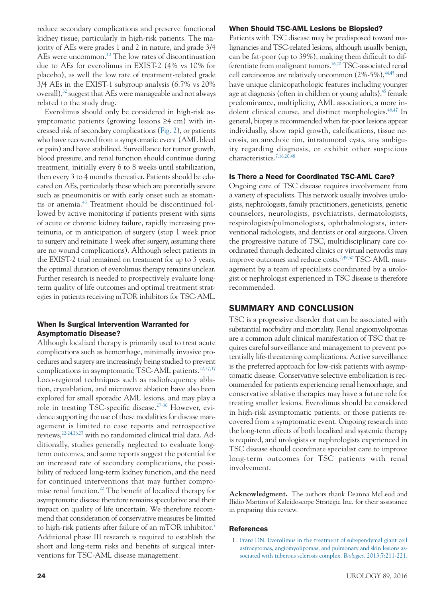reduce secondary complications and preserve functional kidney tissue, particularly in high-risk patients. The majority of AEs were grades 1 and 2 in nature, and grade 3/4 AEs were uncommon.<sup>10</sup> The low rates of discontinuation due to AEs for everolimus in EXIST-2 (4% vs 10% for placebo), as well the low rate of treatment-related grade 3/4 AEs in the EXIST-1 subgroup analysis (6.7% vs 20% overall),<sup>32</sup> suggest that AEs were manageable and not always related to the study drug.

Everolimus should only be considered in high-risk asymptomatic patients (growing lesions ≥4 cm) with increased risk of secondary complications [\(Fig. 2\)](#page-4-0), or patients who have recovered from a symptomatic event (AML bleed or pain) and have stabilized. Surveillance for tumor growth, blood pressure, and renal function should continue during treatment, initially every 6 to 8 weeks until stabilization, then every 3 to 4 months thereafter. Patients should be educated on AEs, particularly those which are potentially severe such as pneumonitis or with early onset such as stomatitis or anemia.<sup>43</sup> Treatment should be discontinued followed by active monitoring if patients present with signs of acute or chronic kidney failure, rapidly increasing proteinuria, or in anticipation of surgery (stop 1 week prior to surgery and reinitiate 1 week after surgery, assuming there are no wound complications). Although select patients in the EXIST-2 trial remained on treatment for up to 3 years, the optimal duration of everolimus therapy remains unclear. Further research is needed to prospectively evaluate longterm quality of life outcomes and optimal treatment strategies in patients receiving mTOR inhibitors for TSC-AML.

# When Is Surgical Intervention Warranted for Asymptomatic Disease?

Although localized therapy is primarily used to treat acute complications such as hemorrhage, minimally invasive procedures and surgery are increasingly being studied to prevent complications in asymptomatic TSC-AML patients.<sup>22,27,37</sup> Loco-regional techniques such as radiofrequency ablation, cryoablation, and microwave ablation have also been explored for small sporadic AML lesions, and may play a role in treating TSC-specific disease[.27-30](#page-6-23) However, evidence supporting the use of these modalities for disease management is limited to case reports and retrospective reviews[,22-24,26,27](#page-6-11) with no randomized clinical trial data. Additionally, studies generally neglected to evaluate longterm outcomes, and some reports suggest the potential for an increased rate of secondary complications, the possibility of reduced long-term kidney function, and the need for continued interventions that may further compromise renal function.<sup>22</sup> The benefit of localized therapy for asymptomatic disease therefore remains speculative and their impact on quality of life uncertain. We therefore recommend that consideration of conservative measures be limited to high-risk patients after failure of an mTOR inhibitor.<sup>7</sup> Additional phase III research is required to establish the short and long-term risks and benefits of surgical interventions for TSC-AML disease management.

#### When Should TSC-AML Lesions be Biopsied?

Patients with TSC disease may be predisposed toward malignancies and TSC-related lesions, although usually benign, can be fat-poor (up to 39%), making them difficult to differentiate from malignant tumors[.16,20](#page-6-7) TSC-associated renal cell carcinomas are relatively uncommon  $(2\% - 5\%)$ ,  $44,45$  and have unique clinicopathologic features including younger age at diagnosis (often in children or young adults), $45$  female predominance, multiplicity, AML association, a more indolent clinical course, and distinct morphologies[.46,47](#page-7-1) In general, biopsy is recommended when fat-poor lesions appear individually, show rapid growth, calcifications, tissue necrosis, an anechoic rim, intratumoral cysts, any ambiguity regarding diagnosis, or exhibit other suspicious characteristics[.7,16,20,48](#page-6-8)

#### Is There a Need for Coordinated TSC-AML Care?

Ongoing care of TSC disease requires involvement from a variety of specialists. This network usually involves urologists, nephrologists, family practitioners, geneticists, genetic counselors, neurologists, psychiatrists, dermatologists, respirologists/pulmonologists, ophthalmologists, interventional radiologists, and dentists or oral surgeons. Given the progressive nature of TSC, multidisciplinary care coordinated through dedicated clinics or virtual networks may improve outcomes and reduce costs.<sup>7,49,50</sup> TSC-AML management by a team of specialists coordinated by a urologist or nephrologist experienced in TSC disease is therefore recommended.

# SUMMARY AND CONCLUSION

TSC is a progressive disorder that can be associated with substantial morbidity and mortality. Renal angiomyolipomas are a common adult clinical manifestation of TSC that requires careful surveillance and management to prevent potentially life-threatening complications. Active surveillance is the preferred approach for low-risk patients with asymptomatic disease. Conservative selective embolization is recommended for patients experiencing renal hemorrhage, and conservative ablative therapies may have a future role for treating smaller lesions. Everolimus should be considered in high-risk asymptomatic patients, or those patients recovered from a symptomatic event. Ongoing research into the long-term effects of both localized and systemic therapy is required, and urologists or nephrologists experienced in TSC disease should coordinate specialist care to improve long-term outcomes for TSC patients with renal involvement.

**Acknowledgment.** The authors thank Deanna McLeod and Ilidio Martins of Kaleidoscope Strategic Inc. for their assistance in preparing this review.

#### **References**

<span id="page-5-0"></span>1. [Franz DN. Everolimus in the treatment of subependymal giant cell](http://refhub.elsevier.com/S0090-4295(15)01143-7/sr0010) [astrocytomas, angiomyolipomas, and pulmonary and skin lesions as](http://refhub.elsevier.com/S0090-4295(15)01143-7/sr0010)[sociated with tuberous sclerosis complex.](http://refhub.elsevier.com/S0090-4295(15)01143-7/sr0010) *Biologics*. 2013;7:211-221.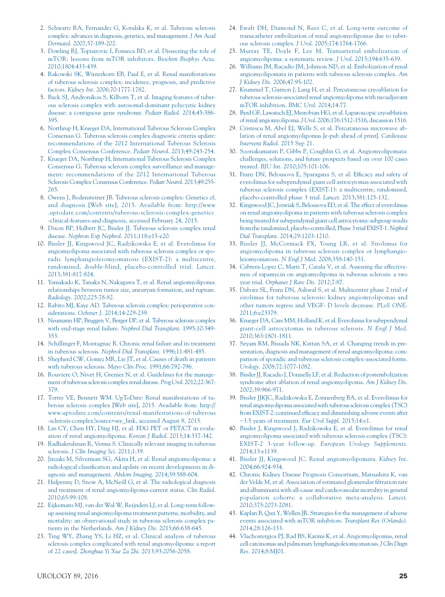- <span id="page-6-0"></span>2. [Schwartz RA, Fernandez G, Kotulska K, et al. Tuberous sclerosis](http://refhub.elsevier.com/S0090-4295(15)01143-7/sr0015) [complex: advances in diagnosis, genetics, and management.](http://refhub.elsevier.com/S0090-4295(15)01143-7/sr0015) *J Am Acad Dermatol*[. 2007;57:189-202.](http://refhub.elsevier.com/S0090-4295(15)01143-7/sr0015)
- 3. [Dowling RJ, Topisirovic I, Fonseca BD, et al. Dissecting the role of](http://refhub.elsevier.com/S0090-4295(15)01143-7/sr0020) [mTOR: lessons from mTOR inhibitors.](http://refhub.elsevier.com/S0090-4295(15)01143-7/sr0020) *Biochim Biophys Acta*. [2010;1804:433-439.](http://refhub.elsevier.com/S0090-4295(15)01143-7/sr0020)
- <span id="page-6-3"></span>4. [Rakowski SK, Winterkorn EB, Paul E, et al. Renal manifestations](http://refhub.elsevier.com/S0090-4295(15)01143-7/sr0025) [of tuberous sclerosis complex: incidence, prognosis, and predictive](http://refhub.elsevier.com/S0090-4295(15)01143-7/sr0025) factors. *Kidney Int*[. 2006;70:1777-1782.](http://refhub.elsevier.com/S0090-4295(15)01143-7/sr0025)
- <span id="page-6-1"></span>5. [Back SJ, Andronikou S, Kilborn T, et al. Imaging features of tuber](http://refhub.elsevier.com/S0090-4295(15)01143-7/sr0030)[ous sclerosis complex with autosomal-dominant polycystic kidney](http://refhub.elsevier.com/S0090-4295(15)01143-7/sr0030) [disease: a contiguous gene syndrome.](http://refhub.elsevier.com/S0090-4295(15)01143-7/sr0030) *Pediatr Radiol*. 2014;45:386- [395.](http://refhub.elsevier.com/S0090-4295(15)01143-7/sr0030)
- <span id="page-6-2"></span>6. [Northrup H, Krueger DA, International Tuberous Sclerosis Complex](http://refhub.elsevier.com/S0090-4295(15)01143-7/sr0035) [Consensus G. Tuberous sclerosis complex diagnostic criteria update:](http://refhub.elsevier.com/S0090-4295(15)01143-7/sr0035) [recommendations of the 2012 International Tuberous Sclerosis](http://refhub.elsevier.com/S0090-4295(15)01143-7/sr0035) [Complex Consensus Conference.](http://refhub.elsevier.com/S0090-4295(15)01143-7/sr0035) *Pediatr Neurol*. 2013;49:243-254.
- <span id="page-6-8"></span>7. [Krueger DA, Northrup H, International Tuberous Sclerosis Complex](http://refhub.elsevier.com/S0090-4295(15)01143-7/sr0040) [Consensus G. Tuberous sclerosis complex surveillance and manage](http://refhub.elsevier.com/S0090-4295(15)01143-7/sr0040)[ment: recommendations of the 2012 International Tuberous](http://refhub.elsevier.com/S0090-4295(15)01143-7/sr0040) [Sclerosis Complex Consensus Conference.](http://refhub.elsevier.com/S0090-4295(15)01143-7/sr0040) *Pediatr Neurol*. 2013;49:255- [265.](http://refhub.elsevier.com/S0090-4295(15)01143-7/sr0040)
- 8. [Owens J, Bodensteiner JB. Tuberous sclerosis complex: Genetics cf,](http://refhub.elsevier.com/S0090-4295(15)01143-7/sr0045) and diagnosis [Web site], 2015. Available from: [http://www](http://www.uptodate.com/contents/tuberous-sclerosis-complex-genetics-clinical-features-and-diagnosis) [.uptodate.com/contents/tuberous-sclerosis-complex-genetics](http://www.uptodate.com/contents/tuberous-sclerosis-complex-genetics-clinical-features-and-diagnosis) [-clinical-features-and-diagnosis,](http://www.uptodate.com/contents/tuberous-sclerosis-complex-genetics-clinical-features-and-diagnosis) accessed February 24, 2015.
- <span id="page-6-5"></span>9. [Dixon BP, Hulbert JC, Bissler JJ. Tuberous sclerosis complex renal](http://refhub.elsevier.com/S0090-4295(15)01143-7/sr0050) disease. *[Nephron Exp Nephrol](http://refhub.elsevier.com/S0090-4295(15)01143-7/sr0050)*. 2011;118:e15-e20.
- <span id="page-6-10"></span>10. [Bissler JJ, Kingswood JC, Radzikowska E, et al. Everolimus for](http://refhub.elsevier.com/S0090-4295(15)01143-7/sr0055) [angiomyolipoma associated with tuberous sclerosis complex or spo](http://refhub.elsevier.com/S0090-4295(15)01143-7/sr0055)[radic lymphangioleiomyomatosis \(EXIST-2\): a multicentre,](http://refhub.elsevier.com/S0090-4295(15)01143-7/sr0055) [randomised, double-blind, placebo-controlled trial.](http://refhub.elsevier.com/S0090-4295(15)01143-7/sr0055) *Lancet*. [2013;381:817-824.](http://refhub.elsevier.com/S0090-4295(15)01143-7/sr0055)
- <span id="page-6-4"></span>11. [Yamakado K, Tanaka N, Nakagawa T, et al. Renal angiomyolipoma:](http://refhub.elsevier.com/S0090-4295(15)01143-7/sr0060) [relationships between tumor size, aneurysm formation, and rupture.](http://refhub.elsevier.com/S0090-4295(15)01143-7/sr0060) *Radiology*[. 2002;225:78-82.](http://refhub.elsevier.com/S0090-4295(15)01143-7/sr0060)
- <span id="page-6-6"></span>12. [Rabito MJ, Kaye AD. Tuberous sclerosis complex: perioperative con](http://refhub.elsevier.com/S0090-4295(15)01143-7/sr0065)siderations. *Ochsner J*[. 2014;14:229-239.](http://refhub.elsevier.com/S0090-4295(15)01143-7/sr0065)
- 13. [Neumann HP, Bruggen V, Berger DP, et al. Tuberous sclerosis complex](http://refhub.elsevier.com/S0090-4295(15)01143-7/sr0070) [with end-stage renal failure.](http://refhub.elsevier.com/S0090-4295(15)01143-7/sr0070) *Nephrol Dial Transplant*. 1995;10:349- [353.](http://refhub.elsevier.com/S0090-4295(15)01143-7/sr0070)
- 14. [Schillinger F, Montagnac R. Chronic renal failure and its treatment](http://refhub.elsevier.com/S0090-4295(15)01143-7/sr0075) in tuberous sclerosis. *[Nephrol Dial Transplant](http://refhub.elsevier.com/S0090-4295(15)01143-7/sr0075)*. 1996;11:481-485.
- 15. [Shepherd CW, Gomez MR, Lie JT, et al. Causes of death in patients](http://refhub.elsevier.com/S0090-4295(15)01143-7/sr0080) [with tuberous sclerosis.](http://refhub.elsevier.com/S0090-4295(15)01143-7/sr0080) *Mayo Clin Proc*. 1991;66:792-796.
- <span id="page-6-7"></span>16. [Rouviere O, Nivet H, Grenier N, et al. Guidelines for the manage](http://refhub.elsevier.com/S0090-4295(15)01143-7/sr0085)[ment of tuberous sclerosis complex renal disease.](http://refhub.elsevier.com/S0090-4295(15)01143-7/sr0085) *Prog Urol*. 2012;22:367- [379.](http://refhub.elsevier.com/S0090-4295(15)01143-7/sr0085)
- 17. [Torres VE, Bennett WM. UpToDate: Renal manifestations of tu](http://refhub.elsevier.com/S0090-4295(15)01143-7/sr0090)berous sclerosis complex [Web site], 2015. Available from: [http://](http://www.uptodate.com/contents/renal-manifestations-of-tuberous-sclerosis-complex?source=see_link) [www.uptodate.com/contents/renal-manifestations-of-tuberous](http://www.uptodate.com/contents/renal-manifestations-of-tuberous-sclerosis-complex?source=see_link) [-sclerosis-complex?source=see\\_link,](http://www.uptodate.com/contents/renal-manifestations-of-tuberous-sclerosis-complex?source=see_link) accessed August 8, 2015.
- 18. [Lin CY, Chen HY, Ding HJ, et al. FDG PET or PET/CT in evalu](http://refhub.elsevier.com/S0090-4295(15)01143-7/sr0095)[ation of renal angiomyolipoma.](http://refhub.elsevier.com/S0090-4295(15)01143-7/sr0095) *Korean J Radiol*. 2013;14:337-342.
- 19. [Radhakrishnan R, Verma S. Clinically relevant imaging in tuberous](http://refhub.elsevier.com/S0090-4295(15)01143-7/sr0100) sclerosis. *[J Clin Imaging Sci](http://refhub.elsevier.com/S0090-4295(15)01143-7/sr0100)*. 2011;1:39.
- <span id="page-6-14"></span>20. [Jinzaki M, Silverman SG, Akita H, et al. Renal angiomyolipoma: a](http://refhub.elsevier.com/S0090-4295(15)01143-7/sr0105) [radiological classification and update on recent developments in di](http://refhub.elsevier.com/S0090-4295(15)01143-7/sr0105)[agnosis and management.](http://refhub.elsevier.com/S0090-4295(15)01143-7/sr0105) *Abdom Imaging*. 2014;39:588-604.
- <span id="page-6-9"></span>21. [Halpenny D, Snow A, McNeill G, et al. The radiological diagnosis](http://refhub.elsevier.com/S0090-4295(15)01143-7/sr0110) [and treatment of renal angiomyolipoma-current status.](http://refhub.elsevier.com/S0090-4295(15)01143-7/sr0110) *Clin Radiol*. [2010;65:99-108.](http://refhub.elsevier.com/S0090-4295(15)01143-7/sr0110)
- <span id="page-6-11"></span>22. [Eijkemans MJ, van der Wal W, Reijnders LJ, et al. Long-term follow](http://refhub.elsevier.com/S0090-4295(15)01143-7/sr0115)[up assessing renal angiomyolipoma treatment patterns, morbidity, and](http://refhub.elsevier.com/S0090-4295(15)01143-7/sr0115) [mortality: an observational study in tuberous sclerosis complex pa](http://refhub.elsevier.com/S0090-4295(15)01143-7/sr0115)[tients in the Netherlands.](http://refhub.elsevier.com/S0090-4295(15)01143-7/sr0115) *Am J Kidney Dis*. 2015;66:638-645.
- 23. [Ting WY, Zhang YS, Li HZ, et al. Clinical analysis of tuberous](http://refhub.elsevier.com/S0090-4295(15)01143-7/sr0120) [sclerosis complex complicated with renal angiomyolipoma: a report](http://refhub.elsevier.com/S0090-4295(15)01143-7/sr0120) of 22 cases]. *[Zhonghua Yi Xue Za Zhi](http://refhub.elsevier.com/S0090-4295(15)01143-7/sr0120)*. 2013;93:2056-2058.
- <span id="page-6-12"></span>24. [Ewalt DH, Diamond N, Rees C, et al. Long-term outcome of](http://refhub.elsevier.com/S0090-4295(15)01143-7/sr0125) [transcatheter embolization of renal angiomyolipomas due to tuber](http://refhub.elsevier.com/S0090-4295(15)01143-7/sr0125)ous sclerosis complex. *J Urol*[. 2005;174:1764-1766.](http://refhub.elsevier.com/S0090-4295(15)01143-7/sr0125)
- <span id="page-6-13"></span>25. [Murray TE, Doyle F, Lee M. Transarterial embolization of](http://refhub.elsevier.com/S0090-4295(15)01143-7/sr0130) [angiomyolipoma: a systematic review.](http://refhub.elsevier.com/S0090-4295(15)01143-7/sr0130) *J Urol*. 2015;194:635-639.
- 26. [Williams JM, Racadio JM, Johnson ND, et al. Embolization of renal](http://refhub.elsevier.com/S0090-4295(15)01143-7/sr0135) [angiomyolipomata in patients with tuberous sclerosis complex.](http://refhub.elsevier.com/S0090-4295(15)01143-7/sr0135) *Am J Kidney Dis*[. 2006;47:95-102.](http://refhub.elsevier.com/S0090-4295(15)01143-7/sr0135)
- <span id="page-6-23"></span>27. [Krummel T, Garnon J, Lang H, et al. Percutaneous cryoablation for](http://refhub.elsevier.com/S0090-4295(15)01143-7/sr0140) [tuberous sclerosis-associated renal angiomyolipoma with neoadjuvant](http://refhub.elsevier.com/S0090-4295(15)01143-7/sr0140) [mTOR inhibition.](http://refhub.elsevier.com/S0090-4295(15)01143-7/sr0140) *BMC Urol*. 2014;14:77.
- 28. [Byrd GF, Lawatsch EJ, Mesrobian HG, et al. Laparoscopic cryoablation](http://refhub.elsevier.com/S0090-4295(15)01143-7/sr0145) of renal angiomyolipoma.*J Urol*[. 2006;176:1512-1516, discussion 1516.](http://refhub.elsevier.com/S0090-4295(15)01143-7/sr0145)
- 29. [Cristescu M, Abel EJ, Wells S, et al. Percutaneous microwave ab](http://refhub.elsevier.com/S0090-4295(15)01143-7/sr0150)[lation of renal angiomyolipomas \[e-pub ahead of print\].](http://refhub.elsevier.com/S0090-4295(15)01143-7/sr0150) *Cardiovasc [Intervent Radiol](http://refhub.elsevier.com/S0090-4295(15)01143-7/sr0150)*. 2015 Sep 21.
- 30. [Sooriakumaran P, Gibbs P, Coughlin G, et al. Angiomyolipomata:](http://refhub.elsevier.com/S0090-4295(15)01143-7/sr0155) [challenges, solutions, and future prospects based on over 100 cases](http://refhub.elsevier.com/S0090-4295(15)01143-7/sr0155) treated. *BJU Int*[. 2010;105:101-106.](http://refhub.elsevier.com/S0090-4295(15)01143-7/sr0155)
- <span id="page-6-18"></span>31. [Franz DN, Belousova E, Sparagana S, et al. Efficacy and safety of](http://refhub.elsevier.com/S0090-4295(15)01143-7/sr0160) [everolimus for subependymal giant cell astrocytomas associated with](http://refhub.elsevier.com/S0090-4295(15)01143-7/sr0160) [tuberous sclerosis complex \(EXIST-1\): a multicentre, randomised,](http://refhub.elsevier.com/S0090-4295(15)01143-7/sr0160) [placebo-controlled phase 3 trial.](http://refhub.elsevier.com/S0090-4295(15)01143-7/sr0160) *Lancet*. 2013;381:125-132.
- <span id="page-6-21"></span>32. [Kingswood JC, Jozwiak S, Belousova ED, et al. The effect of everolimus](http://refhub.elsevier.com/S0090-4295(15)01143-7/sr0165) [on renal angiomyolipoma in patients with tuberous sclerosis complex](http://refhub.elsevier.com/S0090-4295(15)01143-7/sr0165) [being treated for subependymal giant cell astrocytoma: subgroup results](http://refhub.elsevier.com/S0090-4295(15)01143-7/sr0165) [from the randomized, placebo-controlled, Phase 3 trial EXIST-1.](http://refhub.elsevier.com/S0090-4295(15)01143-7/sr0165)*Nephrol Dial Transplant*[. 2014;29:1203-1210.](http://refhub.elsevier.com/S0090-4295(15)01143-7/sr0165)
- <span id="page-6-15"></span>33. [Bissler JJ, McCormack FX, Young LR, et al. Sirolimus for](http://refhub.elsevier.com/S0090-4295(15)01143-7/sr0170) [angiomyolipoma in tuberous sclerosis complex or lymphangio](http://refhub.elsevier.com/S0090-4295(15)01143-7/sr0170)leiomyomatosis. *N Engl J Med*[. 2008;358:140-151.](http://refhub.elsevier.com/S0090-4295(15)01143-7/sr0170)
- <span id="page-6-16"></span>34. [Cabrera-Lopez C, Marti T, Catala V, et al. Assessing the effective](http://refhub.elsevier.com/S0090-4295(15)01143-7/sr0175)[ness of rapamycin on angiomyolipoma in tuberous sclerosis: a two](http://refhub.elsevier.com/S0090-4295(15)01143-7/sr0175) year trial. *[Orphanet J Rare Dis](http://refhub.elsevier.com/S0090-4295(15)01143-7/sr0175)*. 2012;7:87.
- <span id="page-6-17"></span>35. [Dabora SL, Franz DN, Ashwal S, et al. Multicenter phase 2 trial of](http://refhub.elsevier.com/S0090-4295(15)01143-7/sr0180) [sirolimus for tuberous sclerosis: kidney angiomyolipomas and](http://refhub.elsevier.com/S0090-4295(15)01143-7/sr0180) [other tumors regress and VEGF- D levels decrease.](http://refhub.elsevier.com/S0090-4295(15)01143-7/sr0180) *PLoS ONE*. [2011;6:e23379.](http://refhub.elsevier.com/S0090-4295(15)01143-7/sr0180)
- 36. [Krueger DA, Care MM, Holland K, et al. Everolimus for subependymal](http://refhub.elsevier.com/S0090-4295(15)01143-7/sr0185) [giant-cell astrocytomas in tuberous sclerosis.](http://refhub.elsevier.com/S0090-4295(15)01143-7/sr0185) *N Engl J Med*. [2010;363:1801-1811.](http://refhub.elsevier.com/S0090-4295(15)01143-7/sr0185)
- 37. [Seyam RM, Bissada NK, Kattan SA, et al. Changing trends in pre](http://refhub.elsevier.com/S0090-4295(15)01143-7/sr0190)[sentation, diagnosis and management of renal angiomyolipoma: com](http://refhub.elsevier.com/S0090-4295(15)01143-7/sr0190)[parison of sporadic and tuberous sclerosis complex-associated forms.](http://refhub.elsevier.com/S0090-4295(15)01143-7/sr0190) *Urology*[. 2008;72:1077-1082.](http://refhub.elsevier.com/S0090-4295(15)01143-7/sr0190)
- 38. [Bissler JJ, Racadio J, Donnelly LF, et al. Reduction of postembolization](http://refhub.elsevier.com/S0090-4295(15)01143-7/sr0195) [syndrome after ablation of renal angiomyolipoma.](http://refhub.elsevier.com/S0090-4295(15)01143-7/sr0195) *Am J Kidney Dis*. [2002;39:966-971.](http://refhub.elsevier.com/S0090-4295(15)01143-7/sr0195)
- <span id="page-6-19"></span>39. [Bissler JJKJC, Radzikowska E, Zonnenberg BA, et al. Everolimus for](http://refhub.elsevier.com/S0090-4295(15)01143-7/sr0200) [renal angiomyolipoma associated with tuberous sclerosis complex \(TSC\)](http://refhub.elsevier.com/S0090-4295(15)01143-7/sr0200) [from EXIST-2: continued efficacy and diminishing adverse events after](http://refhub.elsevier.com/S0090-4295(15)01143-7/sr0200) [~3.5 years of treatment.](http://refhub.elsevier.com/S0090-4295(15)01143-7/sr0200) *Eur Urol Suppl*. 2015;14:e1.
- <span id="page-6-20"></span>40. [Bissler J, Kingswood J, Radzikowska E, et al. Everolimus for renal](http://refhub.elsevier.com/S0090-4295(15)01143-7/sr9010) [angiomyolipoma associated with tuberous sclerosis complex \(TSC\):](http://refhub.elsevier.com/S0090-4295(15)01143-7/sr9010) EXIST-2 3-year follow-up. *[European Urology Supplements](http://refhub.elsevier.com/S0090-4295(15)01143-7/sr9010)*. [2014;13:e1139.](http://refhub.elsevier.com/S0090-4295(15)01143-7/sr9010)
- 41. [Bissler JJ, Kingswood JC. Renal angiomyolipomata.](http://refhub.elsevier.com/S0090-4295(15)01143-7/sr0205) *Kidney Int*. [2004;66:924-934.](http://refhub.elsevier.com/S0090-4295(15)01143-7/sr0205)
- 42. [Chronic Kidney Disease Prognosis Consortium, Matsushita K, van](http://refhub.elsevier.com/S0090-4295(15)01143-7/sr0210) [der Velde M, et al. Association of estimated glomerular filtration rate](http://refhub.elsevier.com/S0090-4295(15)01143-7/sr0210) [and albuminuria with all-cause and cardiovascular mortality in general](http://refhub.elsevier.com/S0090-4295(15)01143-7/sr0210) [population cohorts: a collaborative meta-analysis.](http://refhub.elsevier.com/S0090-4295(15)01143-7/sr0210) *Lancet*. [2010;375:2073-2081.](http://refhub.elsevier.com/S0090-4295(15)01143-7/sr0210)
- <span id="page-6-22"></span>43. [Kaplan B, Qazi Y, Wellen JR. Strategies for the management of adverse](http://refhub.elsevier.com/S0090-4295(15)01143-7/sr0220) [events associated with mTOR inhibitors.](http://refhub.elsevier.com/S0090-4295(15)01143-7/sr0220) *Transplant Rev (Orlando)*. [2014;28:126-133.](http://refhub.elsevier.com/S0090-4295(15)01143-7/sr0220)
- <span id="page-6-24"></span>44. [Vlachostergios PJ, Rad BS, Karimi K, et al. Angiomyolipomas, renal](http://refhub.elsevier.com/S0090-4295(15)01143-7/sr0225) [cell carcinomas and pulmonary lymphangioleiomyomatosis.](http://refhub.elsevier.com/S0090-4295(15)01143-7/sr0225)*J Clin Diagn Res*[. 2014;8:MJ01.](http://refhub.elsevier.com/S0090-4295(15)01143-7/sr0225)